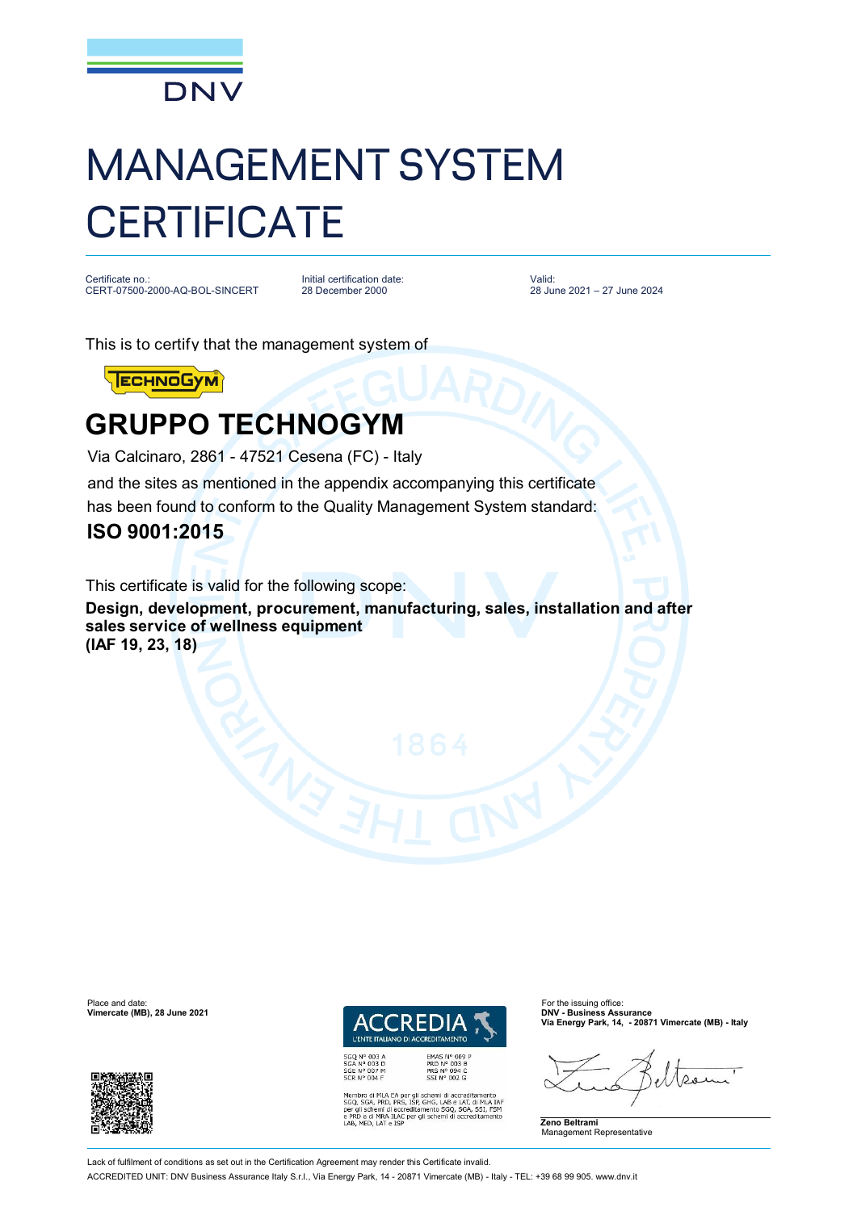

# MANAGEMENT SYSTEM **CERTIFICATE**

Certificate no.: CERT-07500-2000-AQ-BOL-SINCERT

Initial certification date: 28 December 2000

Valid: 28 June 2021 – 27 June 2024

This is to certify that the management system of

**ECHNOGYM** 

## **GRUPPO TECHNOGYM**

Via Calcinaro, 2861 - 47521 Cesena (FC) - Italy and the sites as mentioned in the appendix accompanying this certificate has been found to conform to the Quality Management System standard:

### **ISO 9001:2015**

This certificate is valid for the following scope:

**Design, development, procurement, manufacturing, sales, installation and after sales service of wellness equipment** 

**(IAF 19, 23, 18)**



EMAS N° 009<br>PRD N° 003 B<br>PRS N° 094 C<br>SSI N° 002 G SSLIN<sup>-1</sup> UDG<br>
Membro di MLA EA per gli schemi di accreditamento<br>
SGQ, SGA, PRD, PRS, ISP, GHG, LAB e LAT, di MLA IAF<br>
per gli schemi di accreditamento SGQ, SGA, SSI, FSM<br>
e PRD e di MRA ILAC<br>
LAB, MED, LAT e ISP<br>
LAB, MED **Via Energy Park, 14, - 20871 Vimercate (MB) - Italy**



**Vimercate (MB), 28 June 2021** 



Lack of fulfilment of conditions as set out in the Certification Agreement may render this Certificate invalid.

ACCREDITED UNIT: DNV Business Assurance Italy S.r.l., Via Energy Park, 14 - 20871 Vimercate (MB) - Italy - TEL: +39 68 99 905. www.dnv.it